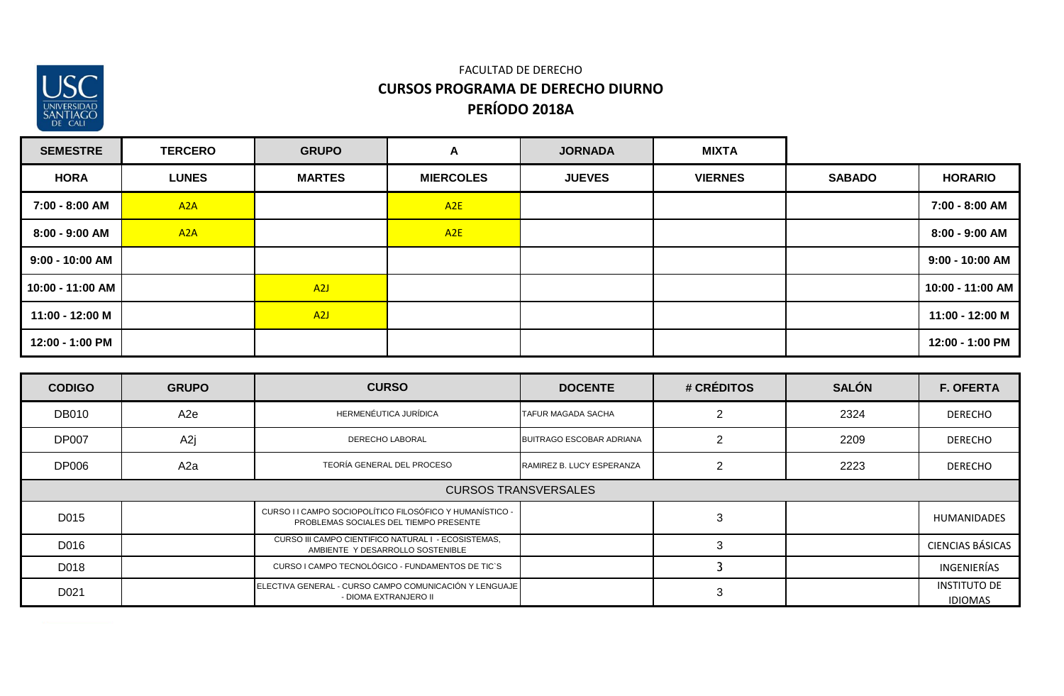

| <b>SEMESTRE</b>   | <b>TERCERO</b>   | <b>GRUPO</b>     | A                | <b>JORNADA</b> | <b>MIXTA</b>   |               |                   |
|-------------------|------------------|------------------|------------------|----------------|----------------|---------------|-------------------|
| <b>HORA</b>       | <b>LUNES</b>     | <b>MARTES</b>    | <b>MIERCOLES</b> | <b>JUEVES</b>  | <b>VIERNES</b> | <b>SABADO</b> | <b>HORARIO</b>    |
| 7:00 - 8:00 AM    | A <sub>2</sub> A |                  | A2E              |                |                |               | 7:00 - 8:00 AM    |
| 8:00 - 9:00 AM    | A <sub>2</sub> A |                  | A2E              |                |                |               | 8:00 - 9:00 AM    |
| $9:00 - 10:00$ AM |                  |                  |                  |                |                |               | $9:00 - 10:00$ AM |
| 10:00 - 11:00 AM  |                  | A <sub>2</sub> J |                  |                |                |               | 10:00 - 11:00 AM  |
| 11:00 - 12:00 M   |                  | A <sub>2</sub> J |                  |                |                |               | 11:00 - 12:00 M   |
| 12:00 - 1:00 PM   |                  |                  |                  |                |                |               | 12:00 - 1:00 PM   |

| <b>CODIGO</b>               | <b>GRUPO</b> | <b>CURSO</b>                                                                                       | <b>DOCENTE</b>                  | # CRÉDITOS | <b>SALÓN</b> | <b>F. OFERTA</b>                      |
|-----------------------------|--------------|----------------------------------------------------------------------------------------------------|---------------------------------|------------|--------------|---------------------------------------|
| <b>DB010</b>                | A2e          | HERMENÉUTICA JURÍDICA                                                                              | <b>TAFUR MAGADA SACHA</b>       |            | 2324         | <b>DERECHO</b>                        |
| <b>DP007</b>                | A2j          | <b>DERECHO LABORAL</b>                                                                             | <b>BUITRAGO ESCOBAR ADRIANA</b> |            | 2209         | <b>DERECHO</b>                        |
| <b>DP006</b>                | A2a          | TEORÍA GENERAL DEL PROCESO                                                                         | RAMIREZ B. LUCY ESPERANZA       | ◠          | 2223         | <b>DERECHO</b>                        |
| <b>CURSOS TRANSVERSALES</b> |              |                                                                                                    |                                 |            |              |                                       |
| D015                        |              | CURSO I I CAMPO SOCIOPOLÍTICO FILOSÓFICO Y HUMANÍSTICO -<br>PROBLEMAS SOCIALES DEL TIEMPO PRESENTE |                                 |            |              | <b>HUMANIDADES</b>                    |
| D016                        |              | CURSO III CAMPO CIENTIFICO NATURAL I - ECOSISTEMAS,<br>AMBIENTE Y DESARROLLO SOSTENIBLE            |                                 |            |              | <b>CIENCIAS BÁSICAS</b>               |
| D018                        |              | CURSO I CAMPO TECNOLÓGICO - FUNDAMENTOS DE TIC'S                                                   |                                 |            |              | INGENIERÍAS                           |
| D <sub>021</sub>            |              | ELECTIVA GENERAL - CURSO CAMPO COMUNICACIÓN Y LENGUAJE<br>- DIOMA EXTRANJERO II                    |                                 | 3          |              | <b>INSTITUTO DE</b><br><b>IDIOMAS</b> |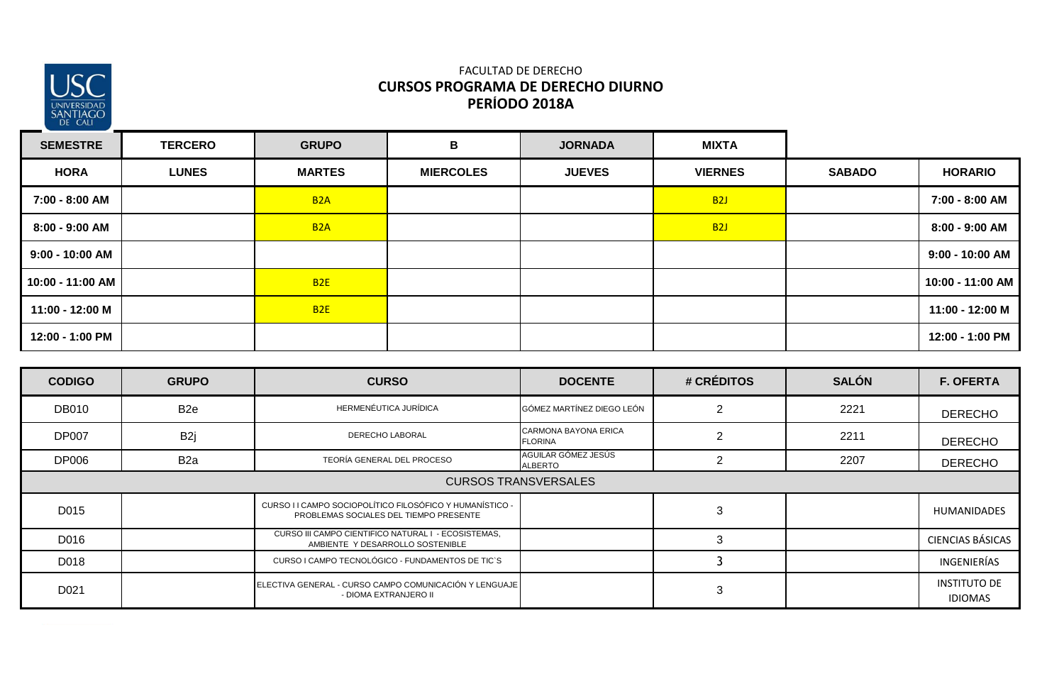

| <b>SEMESTRE</b>  | <b>TERCERO</b> | <b>GRUPO</b>     | B                | <b>JORNADA</b> | <b>MIXTA</b>   |               |                   |
|------------------|----------------|------------------|------------------|----------------|----------------|---------------|-------------------|
| <b>HORA</b>      | <b>LUNES</b>   | <b>MARTES</b>    | <b>MIERCOLES</b> | <b>JUEVES</b>  | <b>VIERNES</b> | <b>SABADO</b> | <b>HORARIO</b>    |
| 7:00 - 8:00 AM   |                | B <sub>2</sub> A |                  |                | <b>B2J</b>     |               | 7:00 - 8:00 AM    |
| 8:00 - 9:00 AM   |                | B <sub>2</sub> A |                  |                | <b>B2J</b>     |               | 8:00 - 9:00 AM    |
| 9:00 - 10:00 AM  |                |                  |                  |                |                |               | $9:00 - 10:00$ AM |
| 10:00 - 11:00 AM |                | <b>B2E</b>       |                  |                |                |               | 10:00 - 11:00 AM  |
| 11:00 - 12:00 M  |                | <b>B2E</b>       |                  |                |                |               | 11:00 - 12:00 M   |
| 12:00 - 1:00 PM  |                |                  |                  |                |                |               | 12:00 - 1:00 PM   |

| <b>CODIGO</b>               | <b>GRUPO</b>     | <b>CURSO</b>                                                                                       | <b>DOCENTE</b>                                | # CRÉDITOS     | <b>SALÓN</b> | <b>F. OFERTA</b>                      |
|-----------------------------|------------------|----------------------------------------------------------------------------------------------------|-----------------------------------------------|----------------|--------------|---------------------------------------|
| <b>DB010</b>                | B <sub>2e</sub>  | HERMENÉUTICA JURÍDICA                                                                              | GÓMEZ MARTÍNEZ DIEGO LEÓN                     | 2              | 2221         | <b>DERECHO</b>                        |
| <b>DP007</b>                | B <sub>2j</sub>  | <b>DERECHO LABORAL</b>                                                                             | <b>CARMONA BAYONA ERICA</b><br><b>FLORINA</b> | $\overline{2}$ | 2211         | <b>DERECHO</b>                        |
| <b>DP006</b>                | B <sub>2</sub> a | TEORÍA GENERAL DEL PROCESO                                                                         | AGUILAR GÓMEZ JESÚS<br>ALBERTO                | ာ              | 2207         | <b>DERECHO</b>                        |
| <b>CURSOS TRANSVERSALES</b> |                  |                                                                                                    |                                               |                |              |                                       |
| D015                        |                  | CURSO I I CAMPO SOCIOPOLÍTICO FILOSÓFICO Y HUMANÍSTICO -<br>PROBLEMAS SOCIALES DEL TIEMPO PRESENTE |                                               | 3              |              | <b>HUMANIDADES</b>                    |
| D016                        |                  | CURSO III CAMPO CIENTIFICO NATURAL I - ECOSISTEMAS,<br>AMBIENTE Y DESARROLLO SOSTENIBLE            |                                               | 3              |              | <b>CIENCIAS BÁSICAS</b>               |
| D018                        |                  | CURSO I CAMPO TECNOLÓGICO - FUNDAMENTOS DE TIC'S                                                   |                                               |                |              | INGENIERÍAS                           |
| D <sub>021</sub>            |                  | ELECTIVA GENERAL - CURSO CAMPO COMUNICACIÓN Y LENGUAJE<br>- DIOMA EXTRANJERO II                    |                                               | 3              |              | <b>INSTITUTO DE</b><br><b>IDIOMAS</b> |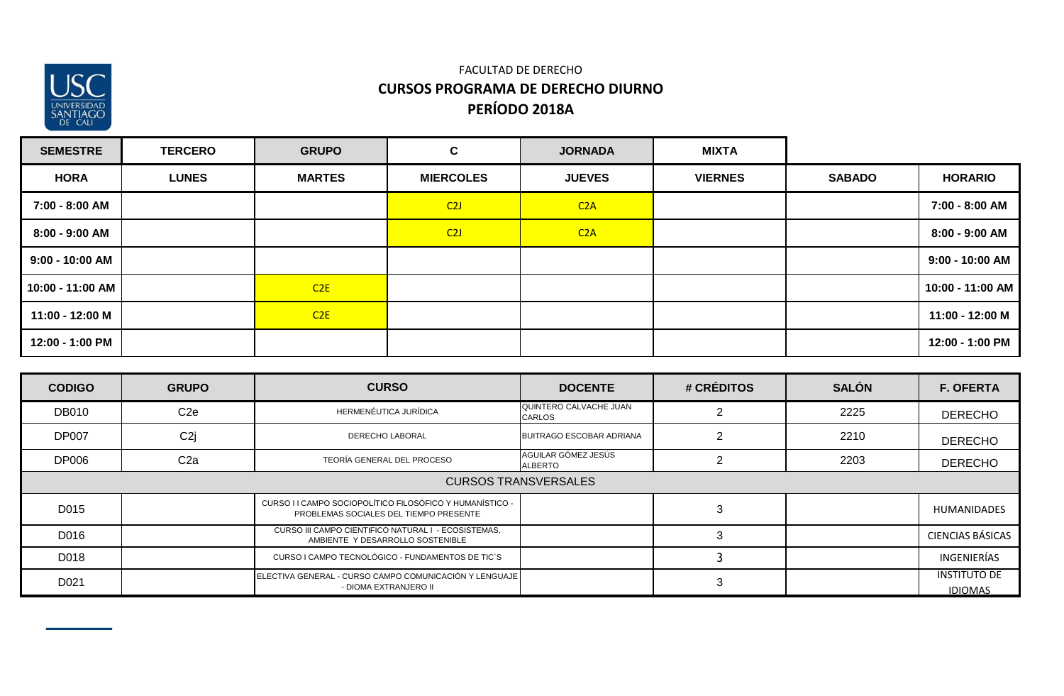

| <b>SEMESTRE</b>   | <b>TERCERO</b> | <b>GRUPO</b>  | $\mathbf{C}$     | <b>JORNADA</b> | <b>MIXTA</b>   |               |                   |
|-------------------|----------------|---------------|------------------|----------------|----------------|---------------|-------------------|
| <b>HORA</b>       | <b>LUNES</b>   | <b>MARTES</b> | <b>MIERCOLES</b> | <b>JUEVES</b>  | <b>VIERNES</b> | <b>SABADO</b> | <b>HORARIO</b>    |
| 7:00 - 8:00 AM    |                |               | C2J              | C2A            |                |               | 7:00 - 8:00 AM    |
| 8:00 - 9:00 AM    |                |               | C2J              | C2A            |                |               | 8:00 - 9:00 AM    |
| $9:00 - 10:00$ AM |                |               |                  |                |                |               | $9:00 - 10:00$ AM |
| 10:00 - 11:00 AM  |                | C2E           |                  |                |                |               | 10:00 - 11:00 AM  |
| 11:00 - 12:00 M   |                | C2E           |                  |                |                |               | 11:00 - 12:00 M   |
| 12:00 - 1:00 PM   |                |               |                  |                |                |               | 12:00 - 1:00 PM   |

| <b>CODIGO</b>               | <b>GRUPO</b>     | <b>CURSO</b>                                                                                       | <b>DOCENTE</b>                          | # CRÉDITOS | <b>SALÓN</b> | <b>F. OFERTA</b>                      |
|-----------------------------|------------------|----------------------------------------------------------------------------------------------------|-----------------------------------------|------------|--------------|---------------------------------------|
| <b>DB010</b>                | C <sub>2e</sub>  | HERMENÉUTICA JURÍDICA                                                                              | QUINTERO CALVACHE JUAN<br><b>CARLOS</b> |            | 2225         | <b>DERECHO</b>                        |
| <b>DP007</b>                | C <sub>2j</sub>  | <b>DERECHO LABORAL</b>                                                                             | <b>BUITRAGO ESCOBAR ADRIANA</b>         |            | 2210         | <b>DERECHO</b>                        |
| <b>DP006</b>                | C <sub>2</sub> a | TEORÍA GENERAL DEL PROCESO                                                                         | AGUILAR GÓMEZ JESÚS<br>ALBERTO          |            | 2203         | <b>DERECHO</b>                        |
| <b>CURSOS TRANSVERSALES</b> |                  |                                                                                                    |                                         |            |              |                                       |
| D015                        |                  | CURSO I I CAMPO SOCIOPOLÍTICO FILOSÓFICO Y HUMANÍSTICO -<br>PROBLEMAS SOCIALES DEL TIEMPO PRESENTE |                                         | З          |              | <b>HUMANIDADES</b>                    |
| D016                        |                  | CURSO III CAMPO CIENTIFICO NATURAL I - ECOSISTEMAS,<br>AMBIENTE Y DESARROLLO SOSTENIBLE            |                                         |            |              | <b>CIENCIAS BÁSICAS</b>               |
| D018                        |                  | CURSO I CAMPO TECNOLÓGICO - FUNDAMENTOS DE TIC`S                                                   |                                         |            |              | INGENIERÍAS                           |
| D <sub>021</sub>            |                  | ELECTIVA GENERAL - CURSO CAMPO COMUNICACIÓN Y LENGUAJE<br>- DIOMA EXTRANJERO II                    |                                         | З          |              | <b>INSTITUTO DE</b><br><b>IDIOMAS</b> |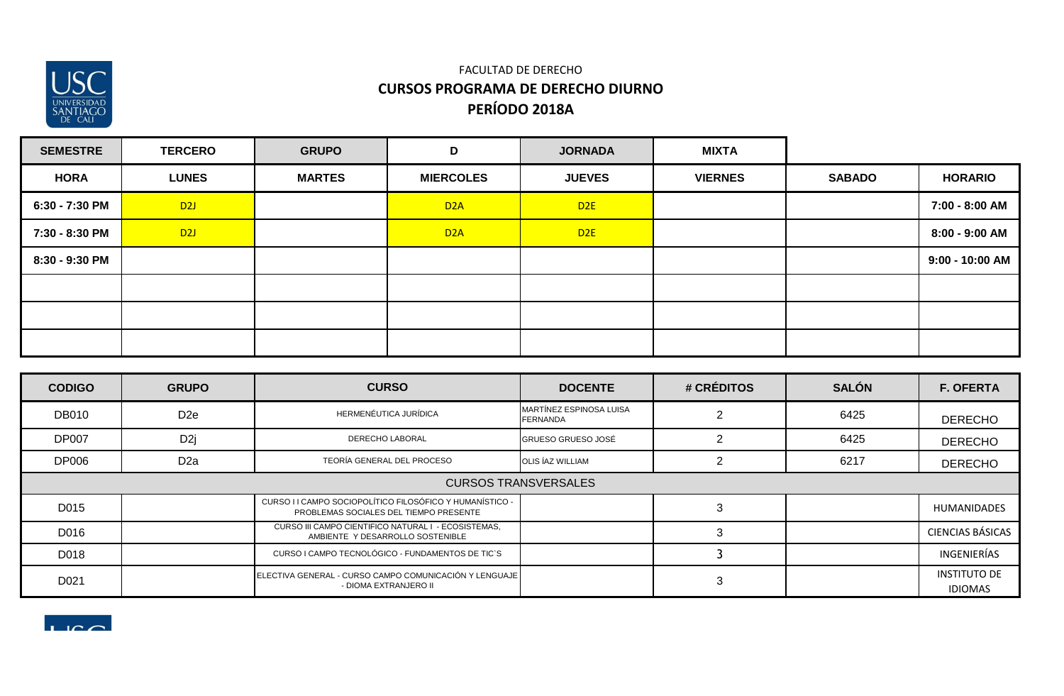

| <b>SEMESTRE</b> | <b>TERCERO</b> | <b>GRUPO</b>  | D                | <b>JORNADA</b> | <b>MIXTA</b>   |               |                 |
|-----------------|----------------|---------------|------------------|----------------|----------------|---------------|-----------------|
| <b>HORA</b>     | <b>LUNES</b>   | <b>MARTES</b> | <b>MIERCOLES</b> | <b>JUEVES</b>  | <b>VIERNES</b> | <b>SABADO</b> | <b>HORARIO</b>  |
| 6:30 - 7:30 PM  | D2J            |               | D <sub>2</sub> A | D2E            |                |               | 7:00 - 8:00 AM  |
| 7:30 - 8:30 PM  | D2J            |               | D <sub>2</sub> A | D2E            |                |               | 8:00 - 9:00 AM  |
| 8:30 - 9:30 PM  |                |               |                  |                |                |               | 9:00 - 10:00 AM |
|                 |                |               |                  |                |                |               |                 |
|                 |                |               |                  |                |                |               |                 |
|                 |                |               |                  |                |                |               |                 |

| <b>CODIGO</b>    | <b>GRUPO</b>                | <b>CURSO</b>                                                                                       | <b>DOCENTE</b>                      | # CRÉDITOS | <b>SALÓN</b> | <b>F. OFERTA</b>                      |  |  |
|------------------|-----------------------------|----------------------------------------------------------------------------------------------------|-------------------------------------|------------|--------------|---------------------------------------|--|--|
| <b>DB010</b>     | D <sub>2e</sub>             | HERMENÉUTICA JURÍDICA                                                                              | MARTÍNEZ ESPINOSA LUISA<br>FERNANDA |            | 6425         | <b>DERECHO</b>                        |  |  |
| <b>DP007</b>     | D <sub>2j</sub>             | DERECHO LABORAL                                                                                    | <b>GRUESO GRUESO JOSÉ</b>           |            | 6425         | <b>DERECHO</b>                        |  |  |
| <b>DP006</b>     | D <sub>2</sub> a            | TEORÍA GENERAL DEL PROCESO                                                                         | OLIS ÍAZ WILLIAM                    |            | 6217         | <b>DERECHO</b>                        |  |  |
|                  | <b>CURSOS TRANSVERSALES</b> |                                                                                                    |                                     |            |              |                                       |  |  |
| D015             |                             | CURSO I I CAMPO SOCIOPOLÍTICO FILOSÓFICO Y HUMANÍSTICO -<br>PROBLEMAS SOCIALES DEL TIEMPO PRESENTE |                                     |            |              | <b>HUMANIDADES</b>                    |  |  |
| D016             |                             | CURSO III CAMPO CIENTIFICO NATURAL I - ECOSISTEMAS,<br>AMBIENTE Y DESARROLLO SOSTENIBLE            |                                     |            |              | <b>CIENCIAS BÁSICAS</b>               |  |  |
| D018             |                             | CURSO I CAMPO TECNOLÓGICO - FUNDAMENTOS DE TIC`S                                                   |                                     |            |              | INGENIERÍAS                           |  |  |
| D <sub>021</sub> |                             | ELECTIVA GENERAL - CURSO CAMPO COMUNICACIÓN Y LENGUAJE<br>- DIOMA EXTRANJERO II                    |                                     |            |              | <b>INSTITUTO DE</b><br><b>IDIOMAS</b> |  |  |

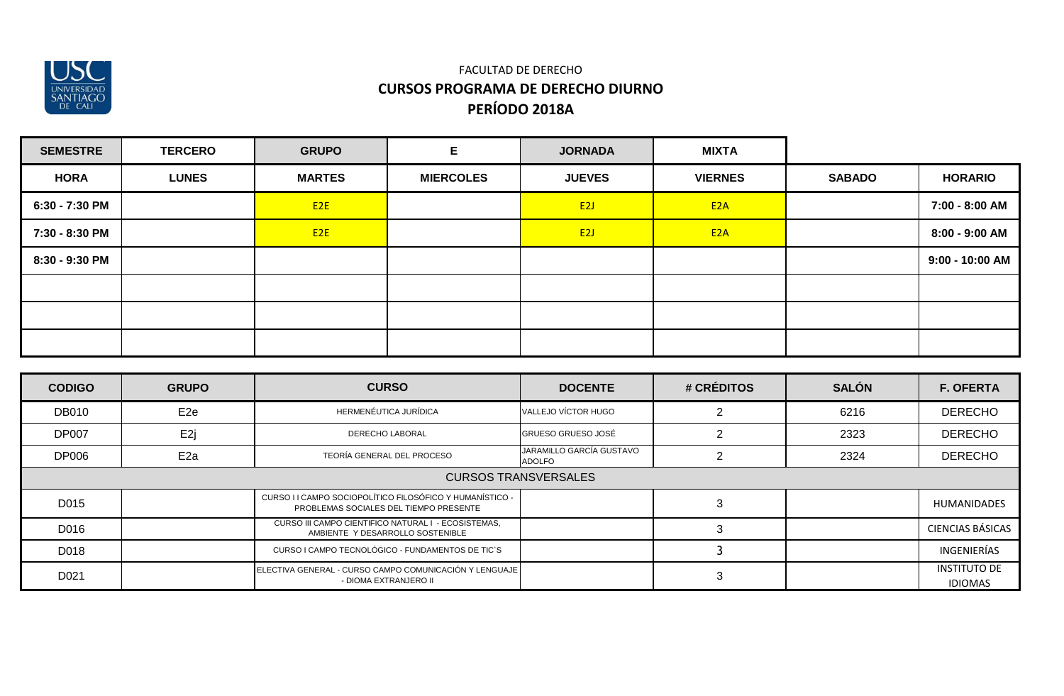

| <b>SEMESTRE</b> | <b>TERCERO</b> | <b>GRUPO</b>    | Е                | <b>JORNADA</b> | <b>MIXTA</b>     |               |                   |
|-----------------|----------------|-----------------|------------------|----------------|------------------|---------------|-------------------|
| <b>HORA</b>     | <b>LUNES</b>   | <b>MARTES</b>   | <b>MIERCOLES</b> | <b>JUEVES</b>  | <b>VIERNES</b>   | <b>SABADO</b> | <b>HORARIO</b>    |
| 6:30 - 7:30 PM  |                | E2E             |                  | E2J            | E <sub>2</sub> A |               | 7:00 - 8:00 AM    |
| 7:30 - 8:30 PM  |                | E <sub>2E</sub> |                  | E2J            | E <sub>2</sub> A |               | 8:00 - 9:00 AM    |
| 8:30 - 9:30 PM  |                |                 |                  |                |                  |               | $9:00 - 10:00$ AM |
|                 |                |                 |                  |                |                  |               |                   |
|                 |                |                 |                  |                |                  |               |                   |
|                 |                |                 |                  |                |                  |               |                   |

| <b>CODIGO</b> | <b>GRUPO</b>                                                                                       | <b>CURSO</b>                                                                            | <b>DOCENTE</b>                     | # CRÉDITOS | <b>SALÓN</b> | <b>F. OFERTA</b>                      |  |  |  |
|---------------|----------------------------------------------------------------------------------------------------|-----------------------------------------------------------------------------------------|------------------------------------|------------|--------------|---------------------------------------|--|--|--|
| <b>DB010</b>  | E <sub>2e</sub>                                                                                    | HERMENÉUTICA JURÍDICA                                                                   | VALLEJO VÍCTOR HUGO                |            | 6216         | <b>DERECHO</b>                        |  |  |  |
| <b>DP007</b>  | E <sub>2j</sub>                                                                                    | DERECHO LABORAL                                                                         | <b>GRUESO GRUESO JOSÉ</b>          |            | 2323         | <b>DERECHO</b>                        |  |  |  |
| <b>DP006</b>  | E <sub>2a</sub>                                                                                    | TEORÍA GENERAL DEL PROCESO                                                              | JARAMILLO GARCÍA GUSTAVO<br>ADOLFO |            | 2324         | <b>DERECHO</b>                        |  |  |  |
|               | <b>CURSOS TRANSVERSALES</b>                                                                        |                                                                                         |                                    |            |              |                                       |  |  |  |
| D015          | CURSO I I CAMPO SOCIOPOLÍTICO FILOSÓFICO Y HUMANÍSTICO -<br>PROBLEMAS SOCIALES DEL TIEMPO PRESENTE |                                                                                         |                                    | З          |              | <b>HUMANIDADES</b>                    |  |  |  |
| D016          |                                                                                                    | CURSO III CAMPO CIENTIFICO NATURAL I - ECOSISTEMAS,<br>AMBIENTE Y DESARROLLO SOSTENIBLE |                                    |            |              | <b>CIENCIAS BÁSICAS</b>               |  |  |  |
| D018          |                                                                                                    | CURSO I CAMPO TECNOLÓGICO - FUNDAMENTOS DE TIC`S                                        |                                    |            |              | INGENIERÍAS                           |  |  |  |
| D021          |                                                                                                    | ELECTIVA GENERAL - CURSO CAMPO COMUNICACIÓN Y LENGUAJE<br>- DIOMA EXTRANJERO II         |                                    |            |              | <b>INSTITUTO DE</b><br><b>IDIOMAS</b> |  |  |  |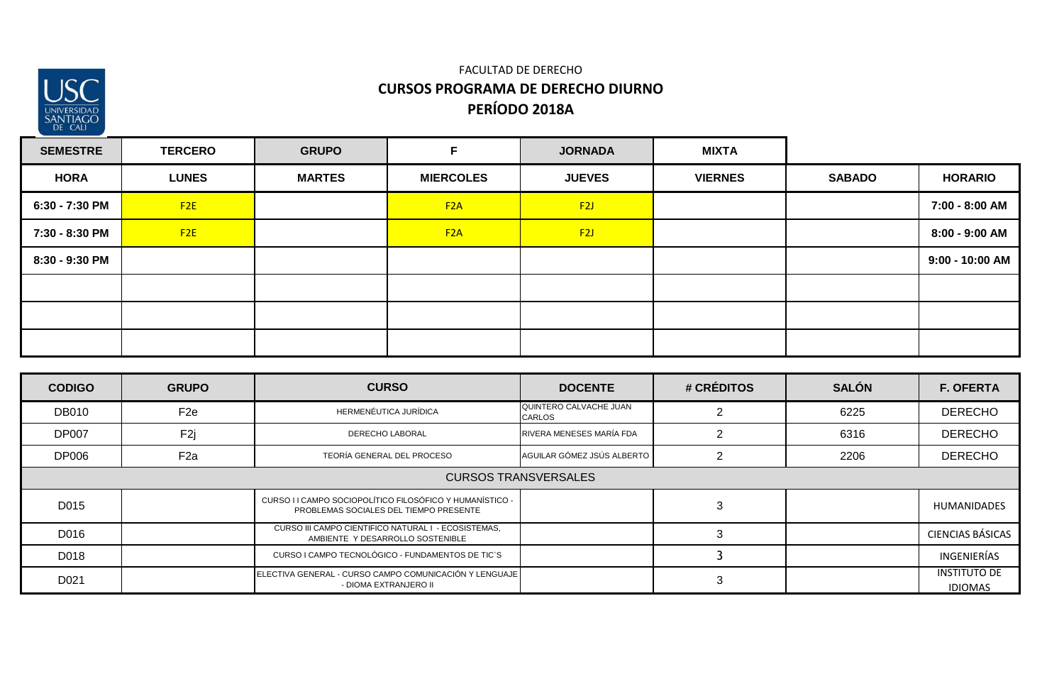

| <b>SEMESTRE</b> | <b>TERCERO</b> | <b>GRUPO</b>  | F                | <b>JORNADA</b> | <b>MIXTA</b>   |               |                 |
|-----------------|----------------|---------------|------------------|----------------|----------------|---------------|-----------------|
| <b>HORA</b>     | <b>LUNES</b>   | <b>MARTES</b> | <b>MIERCOLES</b> | <b>JUEVES</b>  | <b>VIERNES</b> | <b>SABADO</b> | <b>HORARIO</b>  |
| 6:30 - 7:30 PM  | F2E            |               | F2A              | F2J            |                |               | 7:00 - 8:00 AM  |
| 7:30 - 8:30 PM  | F2E            |               | F2A              | F2J            |                |               | 8:00 - 9:00 AM  |
| 8:30 - 9:30 PM  |                |               |                  |                |                |               | 9:00 - 10:00 AM |
|                 |                |               |                  |                |                |               |                 |
|                 |                |               |                  |                |                |               |                 |
|                 |                |               |                  |                |                |               |                 |

| <b>CODIGO</b> | <b>GRUPO</b>                | <b>CURSO</b>                                                                                       | <b>DOCENTE</b>                          | # CRÉDITOS | <b>SALÓN</b> | <b>F. OFERTA</b>                      |  |  |
|---------------|-----------------------------|----------------------------------------------------------------------------------------------------|-----------------------------------------|------------|--------------|---------------------------------------|--|--|
| <b>DB010</b>  | F <sub>2e</sub>             | HERMENÉUTICA JURÍDICA                                                                              | QUINTERO CALVACHE JUAN<br><b>CARLOS</b> |            | 6225         | <b>DERECHO</b>                        |  |  |
| <b>DP007</b>  | F <sub>2j</sub>             | <b>DERECHO LABORAL</b>                                                                             | RIVERA MENESES MARÍA FDA                |            | 6316         | <b>DERECHO</b>                        |  |  |
| <b>DP006</b>  | F <sub>2a</sub>             | TEORÍA GENERAL DEL PROCESO                                                                         | AGUILAR GÓMEZ JSÚS ALBERTO              |            | 2206         | <b>DERECHO</b>                        |  |  |
|               | <b>CURSOS TRANSVERSALES</b> |                                                                                                    |                                         |            |              |                                       |  |  |
| D015          |                             | CURSO I I CAMPO SOCIOPOLÍTICO FILOSÓFICO Y HUMANÍSTICO -<br>PROBLEMAS SOCIALES DEL TIEMPO PRESENTE |                                         | đ          |              | <b>HUMANIDADES</b>                    |  |  |
| D016          |                             | CURSO III CAMPO CIENTIFICO NATURAL I - ECOSISTEMAS,<br>AMBIENTE Y DESARROLLO SOSTENIBLE            |                                         |            |              | <b>CIENCIAS BÁSICAS</b>               |  |  |
| D018          |                             | CURSO I CAMPO TECNOLÓGICO - FUNDAMENTOS DE TIC`S                                                   |                                         |            |              | INGENIERÍAS                           |  |  |
| D021          |                             | ELECTIVA GENERAL - CURSO CAMPO COMUNICACIÓN Y LENGUAJE<br>- DIOMA EXTRANJERO II                    |                                         |            |              | <b>INSTITUTO DE</b><br><b>IDIOMAS</b> |  |  |